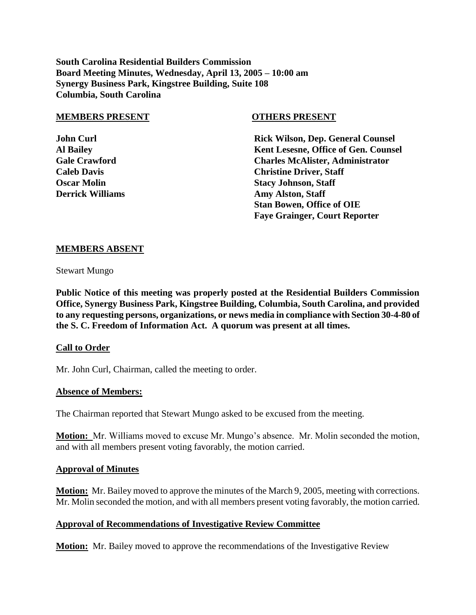**South Carolina Residential Builders Commission Board Meeting Minutes, Wednesday, April 13, 2005 – 10:00 am Synergy Business Park, Kingstree Building, Suite 108 Columbia, South Carolina**

#### **MEMBERS PRESENT OTHERS PRESENT**

**John Curl Rick Wilson, Dep. General Counsel Al Bailey Kent Lesesne, Office of Gen. Counsel Gale Crawford Charles McAlister, Administrator Caleb Davis Christine Driver, Staff Oscar Molin Stacy Johnson, Staff Derrick Williams Amy Alston, Staff Stan Bowen, Office of OIE Faye Grainger, Court Reporter**

#### **MEMBERS ABSENT**

Stewart Mungo

**Public Notice of this meeting was properly posted at the Residential Builders Commission Office, Synergy Business Park, Kingstree Building, Columbia, South Carolina, and provided to any requesting persons, organizations, or news media in compliance with Section 30-4-80 of the S. C. Freedom of Information Act. A quorum was present at all times.**

### **Call to Order**

Mr. John Curl, Chairman, called the meeting to order.

#### **Absence of Members:**

The Chairman reported that Stewart Mungo asked to be excused from the meeting.

**Motion:** Mr. Williams moved to excuse Mr. Mungo's absence. Mr. Molin seconded the motion, and with all members present voting favorably, the motion carried.

#### **Approval of Minutes**

**Motion:** Mr. Bailey moved to approve the minutes of the March 9, 2005, meeting with corrections. Mr. Molin seconded the motion, and with all members present voting favorably, the motion carried.

### **Approval of Recommendations of Investigative Review Committee**

**Motion:** Mr. Bailey moved to approve the recommendations of the Investigative Review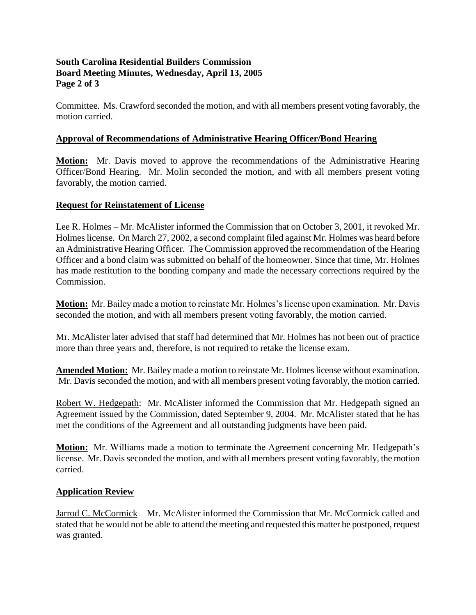# **South Carolina Residential Builders Commission Board Meeting Minutes, Wednesday, April 13, 2005 Page 2 of 3**

Committee. Ms. Crawford seconded the motion, and with all members present voting favorably, the motion carried.

# **Approval of Recommendations of Administrative Hearing Officer/Bond Hearing**

**Motion:** Mr. Davis moved to approve the recommendations of the Administrative Hearing Officer/Bond Hearing. Mr. Molin seconded the motion, and with all members present voting favorably, the motion carried.

# **Request for Reinstatement of License**

Lee R. Holmes – Mr. McAlister informed the Commission that on October 3, 2001, it revoked Mr. Holmes license. On March 27, 2002, a second complaint filed against Mr. Holmes was heard before an Administrative Hearing Officer. The Commission approved the recommendation of the Hearing Officer and a bond claim was submitted on behalf of the homeowner. Since that time, Mr. Holmes has made restitution to the bonding company and made the necessary corrections required by the Commission.

**Motion:** Mr. Bailey made a motion to reinstate Mr. Holmes's license upon examination. Mr. Davis seconded the motion, and with all members present voting favorably, the motion carried.

Mr. McAlister later advised that staff had determined that Mr. Holmes has not been out of practice more than three years and, therefore, is not required to retake the license exam.

**Amended Motion:** Mr. Bailey made a motion to reinstate Mr. Holmes license without examination. Mr. Davis seconded the motion, and with all members present voting favorably, the motion carried.

Robert W. Hedgepath: Mr. McAlister informed the Commission that Mr. Hedgepath signed an Agreement issued by the Commission, dated September 9, 2004. Mr. McAlister stated that he has met the conditions of the Agreement and all outstanding judgments have been paid.

**Motion:** Mr. Williams made a motion to terminate the Agreement concerning Mr. Hedgepath's license. Mr. Davis seconded the motion, and with all members present voting favorably, the motion carried.

# **Application Review**

Jarrod C. McCormick – Mr. McAlister informed the Commission that Mr. McCormick called and stated that he would not be able to attend the meeting and requested this matter be postponed, request was granted.